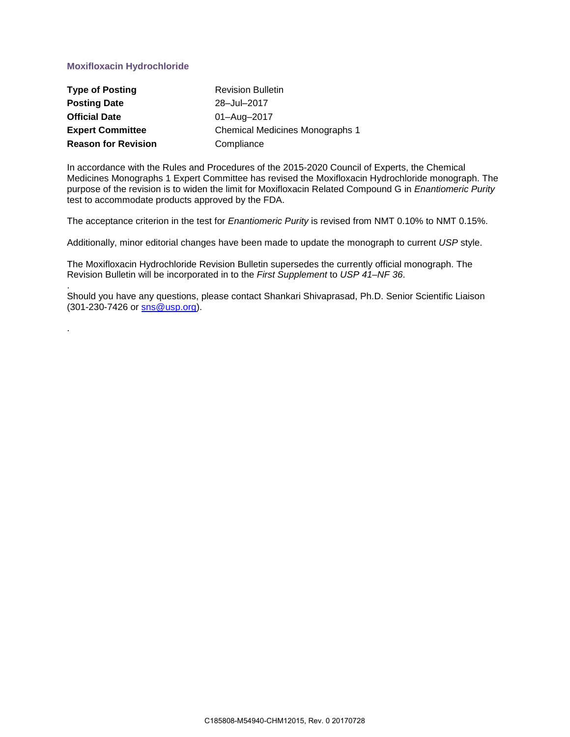## **Moxifloxacin Hydrochloride**

.

| <b>Type of Posting</b>     | <b>Revision Bulletin</b>               |
|----------------------------|----------------------------------------|
| <b>Posting Date</b>        | 28-Jul-2017                            |
| <b>Official Date</b>       | 01-Aug-2017                            |
| <b>Expert Committee</b>    | <b>Chemical Medicines Monographs 1</b> |
| <b>Reason for Revision</b> | Compliance                             |

In accordance with the Rules and Procedures of the 2015-2020 Council of Experts, the Chemical Medicines Monographs 1 Expert Committee has revised the Moxifloxacin Hydrochloride monograph. The purpose of the revision is to widen the limit for Moxifloxacin Related Compound G in *Enantiomeric Purity* test to accommodate products approved by the FDA.

The acceptance criterion in the test for *Enantiomeric Purity* is revised from NMT 0.10% to NMT 0.15%.

Additionally, minor editorial changes have been made to update the monograph to current *USP* style.

The Moxifloxacin Hydrochloride Revision Bulletin supersedes the currently official monograph. The Revision Bulletin will be incorporated in to the *First Supplement* to *USP 41–NF 36*.

. Should you have any questions, please contact Shankari Shivaprasad, Ph.D. Senior Scientific Liaison (301-230-7426 or [sns@usp.org\)](mailto:sns@usp.org).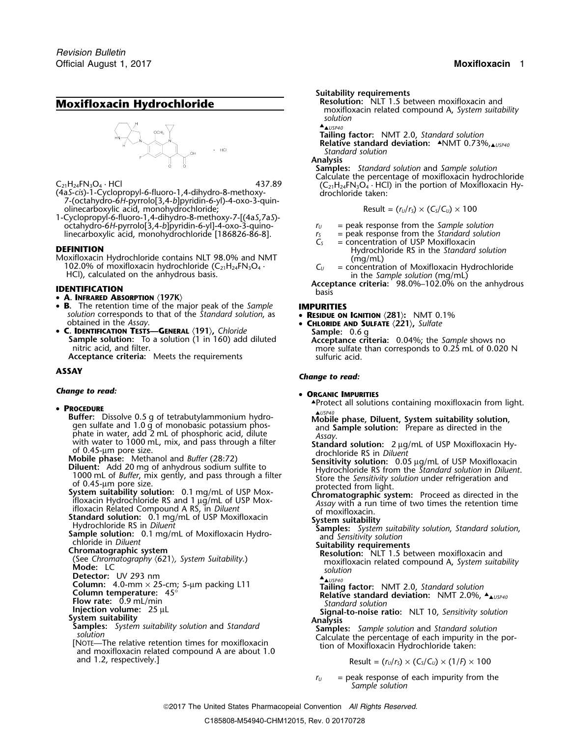# **Moxifloxacin Hydrochloride**

- 7-(octahydro-6*H*-pyrrolo[3,4-*b*]pyridin-6-yl)-4-oxo-3-quinolinecarboxylic acid, monohydrochloride;  $\qquad \qquad \qquad \qquad \qquad \qquad \qquad \qquad \text{Result} = (r_U/r_S) \times (\mathsf{C}_S/\mathsf{C}_U) \times 100$
- 1-Cyclopropyl-6-fluoro-1,4-dihydro-8-methoxy-7-[(4a*S*,7a*S*) octahydro-6*H*-pyrrolo[3,4-*b*]pyridin-6-yl]-4-oxo-3-quino- *<sup>r</sup><sup>U</sup>* = peak response from the *Sample solution* linecarboxylic acid, monohydrochloride [186826-86-8]. *<sup>r</sup><sup>S</sup>* = peak response from the *Standard solution*

Moxifloxacin Hydrochloride contains NLT 98.0% and NMT (mg/mL)<br>102.0% of moxifloxacin hydrochloride (C<sub>21</sub>H<sub>24</sub>FN<sub>3</sub>O<sub>4</sub> · C<sub>u</sub> = concentration of Moxifloxacin Hydrochloride<br>HCl), calculated on the an

- **A. INFRARED ABSORPTION** 〈**197K**〉
- **B.** The retention time of the major peak of the *Sample* **IMPURITIES** *solution* corresponds to that of the *Standard solution*, as • **RESIDUE ON IGNITION** (281): NMT 0.1% obtained in the *Assay*.
- obtained in the *Assay*. **<sup>C</sup>HLORIDE AND SULFATE** 〈**221**〉**,** *Sulfate* •**Sample solution:** To a solution (1 in 160) add diluted<br>nitric acid, and filter.<br>more sulfate than corresponds to 0.25 mL of 0.020

## *Change to read:* •

## **PROCEDURE**

**Buffer:** Dissolve 0.5 g of tetrabutylammonium hydro<br>
particle and 1.0 g of monobasic potassium photomatic and dilute<br>
particle and 2 mL of phosphoric acid, dilute<br>
while phase, Diluent, System suitability solution,<br>
whil

- 
- 
- 
- 
- 

- 
- 

- 
- 
- 
- 
- and 1.2, respectively.] Result =  $(r_U/r_S) \times (C_S/C_U) \times (1/F) \times 100$

- **Suitability requirements** moxifloxacin related compound A, *System suitability solution*
- ▲. ▲*USP40*

**Tailing factor:** NMT 2.0, *Standard solution*

**Relative standard deviation: ▲NMT 0.73%,▲USP40** *Standard solution*

**Analysis**

**Samples:** *Standard solution* and *Sample solution* C<sub>21</sub>H<sub>24</sub>FN<sub>3</sub>O<sub>4</sub> · HCl 437.89 (C<sub>21</sub>H<sub>24</sub>FN<sub>3</sub>O<sub>4</sub> · HCl) in the portion of Moxifloxacin Hy-<br>
(4a*S*-*cis*)-1-Cyclopropyl-6-fluoro-1,4-dihydro-8-methoxy- drochloride taken:

$$
Result = (r_U/r_S) \times (C_S/C_U) \times 100
$$

- 
- 
- $r_s$  = peak response trom the Standard s<br> $C_s$  = concentration of USP Moxifloxacin **DEFINITION**<br>Moxifloxacin Hydrochloride contains NLT 98.0% and NMT (mq/mL)<br>(mq/mL)
	-

**Acceptance criteria:** 98.0%–102.0% on the anhydrous<br>basis basis

- 
- 

nitric acid, and filter. more sulfate than corresponds to 0.25 mL of 0.020 N **Acceptance criteria:** Meets the requirements sulfuric acid.

# **ASSAY** *Change to read:*

## **ORGANIC IMPURITIES**

• Protect all solutions containing moxifloxacin from light.

- 
- 
- 
- 

- 
- 
- $\triangle$ usp40 **Detector:** UV 293 nm<br> **Column:** 4.0-mm × 25-cm; 5-μm packing L11<br> **Column temperature:** 45°<br> **Flow rate:** 0.9 mL/min **temperature:** 45°<br> **Flow rate:** 0.9 mL/min **temperature:**<br> **PERENT COLUMN TENDARY Standard deviation:** 
	-

Flow rate: 0.9 mL/min<br>
Injection volume: 25 µL<br>
Standard solution<br>
System suitability<br>
Signal-to-noise ratio: NLT 10, Sensitivity solution<br>
Signal-to-noise ratio: NLT 10, Sensitivity solution<br>
Signal-to-noise ratio: NLT 10

 $r_U$  = peak response of each impurity from the *Sample solution*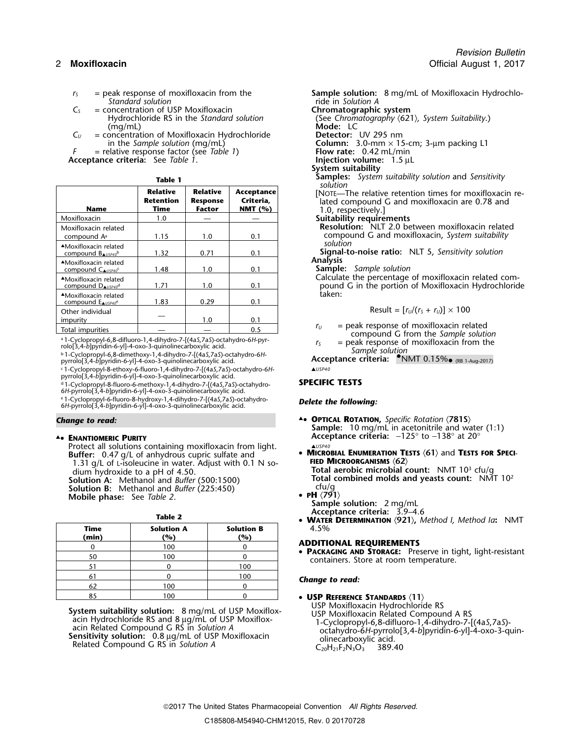- 
- *C<sub>S</sub>* = concentration of USP Moxifloxacin **Chromatographic system**<br>Hydrochloride RS in the *Standard solution* (See *Chromatography*  $\langle 62 \rangle$
- $C_U$  = concentration of Moxifloxacin Hydrochloride **in** the Sample solution (mg/mL)

**Acceptance criteria:** See *Table* 1.

|                                                                      |                                             |                                              | solution                              |                                                                                                         |
|----------------------------------------------------------------------|---------------------------------------------|----------------------------------------------|---------------------------------------|---------------------------------------------------------------------------------------------------------|
| <b>Name</b>                                                          | <b>Relative</b><br><b>Retention</b><br>Time | <b>Relative</b><br><b>Response</b><br>Factor | Acceptance<br>Criteria,<br>NMT $(% )$ | [NOTE-The relative retention times for m<br>lated compound G and moxifloxacin are<br>1.0, respectively. |
| Moxifloxacin                                                         | 1.0                                         |                                              |                                       | <b>Suitability requirements</b>                                                                         |
| Moxifloxacin related<br>compound A <sup>a</sup>                      | 1.15                                        | 1.0                                          | 0.1                                   | Resolution: NLT 2.0 between moxiflox<br>compound G and moxifloxacin, System                             |
| AMoxifloxacin related<br>compound $B_{\triangle USP40}$ <sup>b</sup> | 1.32                                        | 0.71                                         | 0.1                                   | solution<br>Signal-to-noise ratio: NLT 5, Sensitivity                                                   |
| AMoxifloxacin related<br>compound $C_{\triangle USP40}c$             | 1.48                                        | 1.0                                          | 0.1                                   | <b>Analysis</b><br><b>Sample:</b> Sample solution                                                       |
| AMoxifloxacin related<br>compound DAUSP40 <sup>d</sup>               | 1.71                                        | 1.0                                          | 0.1                                   | Calculate the percentage of moxifloxacin<br>pound G in the portion of Moxifloxacin                      |
| AMoxifloxacin related<br>compound ENUSP40 <sup>e</sup>               | 1.83                                        | 0.29                                         | 0.1                                   | taken:                                                                                                  |
| Other individual                                                     |                                             |                                              |                                       | Result = $[r_U/(r_s + r_U)] \times 100$                                                                 |
| impurity                                                             |                                             | 1.0                                          | 0.1                                   |                                                                                                         |
| Total impurities                                                     |                                             |                                              | 0.5                                   | $=$ peak response of moxifloxacin re<br>$r_{\rm H}$                                                     |

<sup>a</sup> 1-Cyclopropyl-6,8-difluoro-1,4-dihydro-7-[(4a*S*,7a*S*)-octahydro-6*H*-pyr- *r<sub>S</sub>* = peak response of moxifloxacin from the rolo[3,4-*b*]pyridin-6-yl]-4-oxo-3-quinolinecarboxylic acid.

<sup>b</sup> *Sample solution* .1-Cyclopropyl-6,8-dimethoxy-1,4-dihydro-7-[(4a*S*,7a*S*)-octahydro-6*H* pology, 4-*b*]pyridin-6-yij-4-oxo-3-quinolinecarboxylic acid.<br>
b 1-Cyclopropyl-6,8-dimethoxy-1,4-dihydro-7-[(4aS,7aS)-octahydro-6H-<br>
pyrrolo[3,4-*b*]pyridin-6-yi]-4-oxo-3-quinolinecarboxylic acid. **Acceptance criteria: ●N** 

c .1-Cyclopropyl-8-ethoxy-6-fluoro-1,4-dihydro-7-[(4a*S*,7a*S*)-octahydro-6*H*- ▲*USP40* pyrrolo[3,4-*b*]pyridin-6-yl]-4-oxo-3-quinolinecarboxylic acid.

d .1-Cyclopropyl-8-fluoro-6-methoxy-1,4-dihydro-7-[(4a*S*,7a*S*)-octahydro- **SPECIFIC TESTS** 6*H*-pyrrolo[3,4-*b*]pyridin-6-yl]-4-oxo-3-quinolinecarboxylic acid.

e .1-Cyclopropyl-6-fluoro-8-hydroxy-1,4-dihydro-7-[(4a*S*,7a*S*)-octahydro- *Delete the following:* <sup>6</sup>*H*-pyrrolo[3,4-*b*]pyridin-6-yl]-4-oxo-3-quinolinecarboxylic acid.

Protect all solutions containing moxifloxacin from light.<br>**Buffer:** 0.47 a/l of anhydrous cupric sulfate and<br>**MICROBIAL ENUMERATION TESTS (61)** and TESTS FOR SPECI-**Buffer:** 0.47 g/L of anhydrous cupric sulfate and **COM**ICROBIAL ENUMERATION TE<br>1.31 g/L of L-isoleucine in water. Adjust with 0.1 N so-<br>**FIED MICROORGANISMS** (62) 1.31 g/L of **FIED MICROORGANISMS** 〈**62**〉 <sup>L</sup>-isoleucine in water. Adjust with 0.1 N so- **Total aerobic microbial count:** NMT 10<sup>3</sup> dium hydroxide to a pH of 4.50. . cfu/g Methanol and *Buffer* (500:1500) **Solution B:** Methanol and *Buffer* (225:450) cfu/g<br>Mobile phase: See Table 2.

|               |                          |                          | <b>THATER DETERMINATION</b> $(221)$ method is method for twitt                                        |
|---------------|--------------------------|--------------------------|-------------------------------------------------------------------------------------------------------|
| Time<br>(min) | <b>Solution A</b><br>(%) | <b>Solution B</b><br>(%) | 4.5%                                                                                                  |
|               | 100                      |                          | <b>ADDITIONAL REQUIREMENTS</b>                                                                        |
| 50            | 100                      |                          | • PACKAGING AND STORAGE: Preserve in tight, light-resistant<br>containers. Store at room temperature. |
|               |                          | 100                      |                                                                                                       |
|               |                          | 100                      | Change to read:                                                                                       |
| 62            | 100                      |                          |                                                                                                       |
|               | 100                      |                          | • USP REFERENCE STANDARDS $(11)$                                                                      |

*r*<sub>S</sub> = peak response of moxifloxacin from the **Sample solution:** 8 mg/mL of Moxifloxacin Hydrochlo-<br>Standard solution a standard solution *Standard solution* ride in *Solution A* Hydrochloride RS in the *Standard solution* (See *Chromatography*  $\langle 621 \rangle$ *, System Suitability.*)<br> **Mode:** LC Mode: LC<br>Detector: UV 295 nm Column: 3.0-mm × 15-cm; 3-µm packing L1 Flow rate: 0.42 mL/min *F* = relative response factor (see *Table 1*) **Flow rate:** 0.42 mL/min <br> **Comptance criteria:** See *Table 1*.<br> **France Criteria:** See *Table 1*. **System suitability Samples:** *System suitability solution and Sensitivity solution*  $N$ OTE—The relative retention times for moxifloxacin re-**Redemange** G and moxifloxacin are 0.78 and **1.0**, respectively.] Suitability requirements Resolution: NLT 2.0 between moxifloxacin related

compound G and moxifloxacin, *System suitability*<br>solution **Signal-to-noise ratio:** NLT 5, Sensitivity solution

Analysis

Calculate the percentage of moxifloxacin related compound G in the portion of Moxifloxacin Hydrochloride<br>taken:

$$
Result = [r_U/(r_s + r_U)] \times 100
$$

*r*<sub>*U*</sub> = peak response of moxifloxacin related  $r_U$  = peak response of moxifloxacin related compound G from the *Sample solution* and *a* compound G from the *Sample solution* and *a* compound G from the *Sample solution* 

- *Change to read:* ▲**. <sup>O</sup>PTICAL ROTATION,** *Specific Rotation* 〈**781S**〉 **Sample:** 10 mg/mL in acetonitrile and water (1:1) ▲ **Acceptance criteria:** <sup>−</sup>125° to −138° at 20° **.**• **ENANTIOMERIC PURITY**
	- **Total combined molds and yeasts count:** NMT 10<sup>2</sup> cfu/q
	- **Mobile phase:** See *Table 2*. **Completed a later of** *Sample solution:* 2 mg/mL Sample solution: 2 mg/mL<br>**Acceptance criteria:** 3.9–4.6
		- **Acceptance criteria:** 3.9–4.6 **Table 2 WATER DETERMINATION** 〈**921**〉**,** *Method I, Method Ia***:** NMT

## **(min) (%) (%) ADDITIONAL REQUIREMENTS** <sup>0</sup> <sup>100</sup> <sup>0</sup>

## **Change to read:**

- 
- **USP REFERENCE STANDARDS** 〈**11**〉 **System suitability solution:** 8 mg/mL of USP Moxiflox-<br>
acin Hydrochloride RS and 8 µg/mL of USP Moxiflox-<br>
acin Related Compound G RS in Solution A<br> **Sensitivity solution:** 0.8 µg/mL of USP Moxifloxacin<br>
Related Compoun